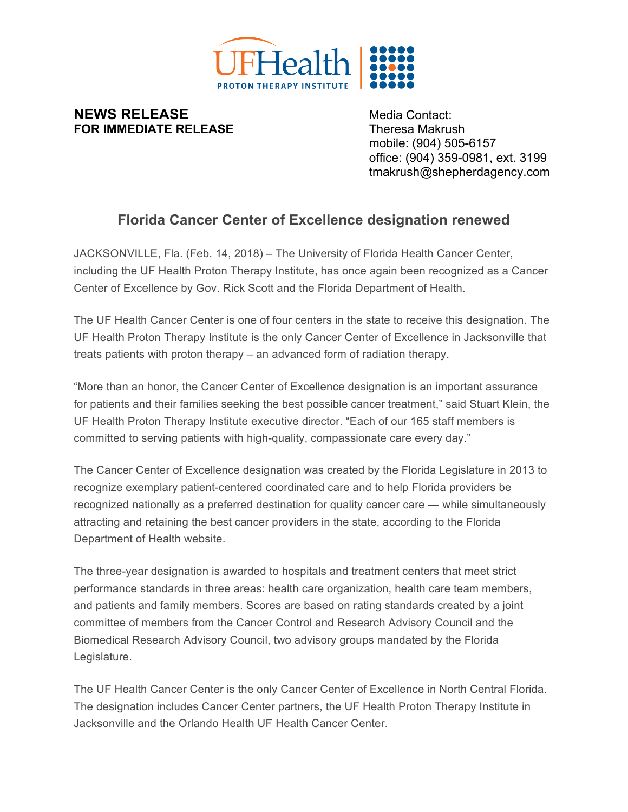

## **NEWS RELEASE** Media Contact: **FOR IMMEDIATE RELEASE** Theresa Makrush

mobile: (904) 505-6157 office: (904) 359-0981, ext. 3199 tmakrush@shepherdagency.com

## **Florida Cancer Center of Excellence designation renewed**

JACKSONVILLE, Fla. (Feb. 14, 2018) – The University of Florida Health Cancer Center, including the UF Health Proton Therapy Institute, has once again been recognized as a Cancer Center of Excellence by Gov. Rick Scott and the Florida Department of Health.

The UF Health Cancer Center is one of four centers in the state to receive this designation. The UF Health Proton Therapy Institute is the only Cancer Center of Excellence in Jacksonville that treats patients with proton therapy – an advanced form of radiation therapy.

"More than an honor, the Cancer Center of Excellence designation is an important assurance for patients and their families seeking the best possible cancer treatment," said Stuart Klein, the UF Health Proton Therapy Institute executive director. "Each of our 165 staff members is committed to serving patients with high-quality, compassionate care every day."

The Cancer Center of Excellence designation was created by the Florida Legislature in 2013 to recognize exemplary patient-centered coordinated care and to help Florida providers be recognized nationally as a preferred destination for quality cancer care — while simultaneously attracting and retaining the best cancer providers in the state, according to the Florida Department of Health website.

The three-year designation is awarded to hospitals and treatment centers that meet strict performance standards in three areas: health care organization, health care team members, and patients and family members. Scores are based on rating standards created by a joint committee of members from the Cancer Control and Research Advisory Council and the Biomedical Research Advisory Council, two advisory groups mandated by the Florida Legislature.

The UF Health Cancer Center is the only Cancer Center of Excellence in North Central Florida. The designation includes Cancer Center partners, the UF Health Proton Therapy Institute in Jacksonville and the Orlando Health UF Health Cancer Center.